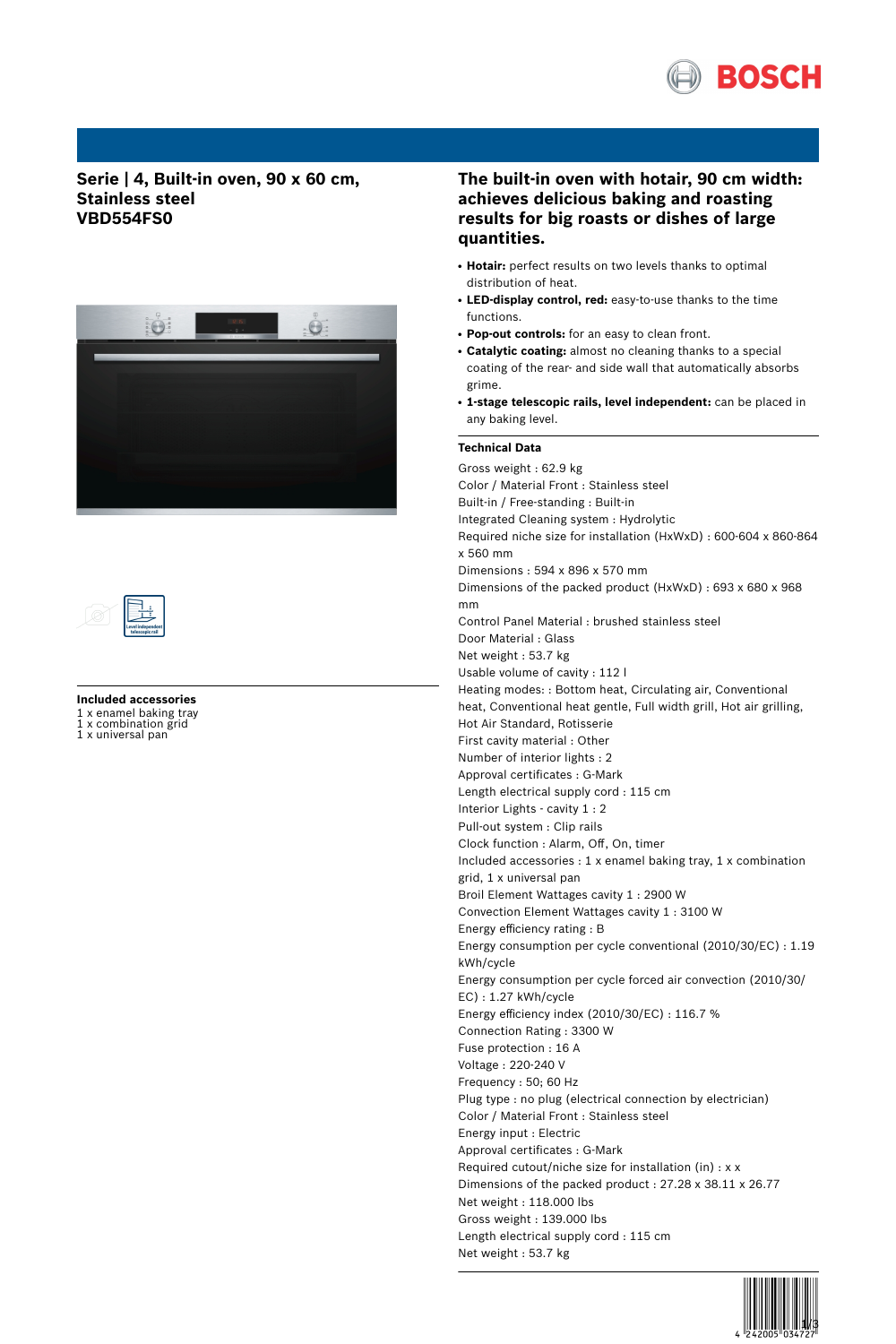

## **Serie | 4, Built-in oven, 90 x 60 cm, Stainless steel VBD554FS0**





**Included accessories** 1 x enamel baking tray 1 x combination grid

1 x universal pan

# **The built-in oven with hotair, 90 cm width: achieves delicious baking and roasting results for big roasts or dishes of large quantities.**

- Hotair: perfect results on two levels thanks to optimal distribution of heat.
- **LED-display control, red:** easy-to-use thanks to the time functions.
- **Pop-out controls:** for an easy to clean front.
- **Catalytic coating:** almost no cleaning thanks to a special coating of the rear- and side wall that automatically absorbs grime.
- **1-stage telescopic rails, level independent:** can be placed in any baking level.

## **Technical Data**

Gross weight : 62.9 kg Color / Material Front : Stainless steel Built-in / Free-standing : Built-in Integrated Cleaning system : Hydrolytic Required niche size for installation (HxWxD) : 600-604 x 860-864 x 560 mm Dimensions : 594 x 896 x 570 mm Dimensions of the packed product (HxWxD) : 693 x 680 x 968 mm Control Panel Material : brushed stainless steel Door Material : Glass Net weight : 53.7 kg Usable volume of cavity : 112 l Heating modes: : Bottom heat, Circulating air, Conventional heat, Conventional heat gentle, Full width grill, Hot air grilling, Hot Air Standard, Rotisserie First cavity material : Other Number of interior lights : 2 Approval certificates : G-Mark Length electrical supply cord : 115 cm Interior Lights - cavity 1 : 2 Pull-out system : Clip rails Clock function : Alarm, Off, On, timer Included accessories : 1 x enamel baking tray, 1 x combination grid, 1 x universal pan Broil Element Wattages cavity 1 : 2900 W Convection Element Wattages cavity 1 : 3100 W Energy efficiency rating : B Energy consumption per cycle conventional (2010/30/EC) : 1.19 kWh/cycle Energy consumption per cycle forced air convection (2010/30/ EC) : 1.27 kWh/cycle Energy efficiency index (2010/30/EC) : 116.7 % Connection Rating : 3300 W Fuse protection : 16 A Voltage : 220-240 V Frequency : 50; 60 Hz Plug type : no plug (electrical connection by electrician) Color / Material Front : Stainless steel Energy input : Electric Approval certificates : G-Mark Required cutout/niche size for installation (in) : x x Dimensions of the packed product : 27.28 x 38.11 x 26.77 Net weight : 118.000 lbs Gross weight : 139.000 lbs Length electrical supply cord : 115 cm Net weight : 53.7 kg

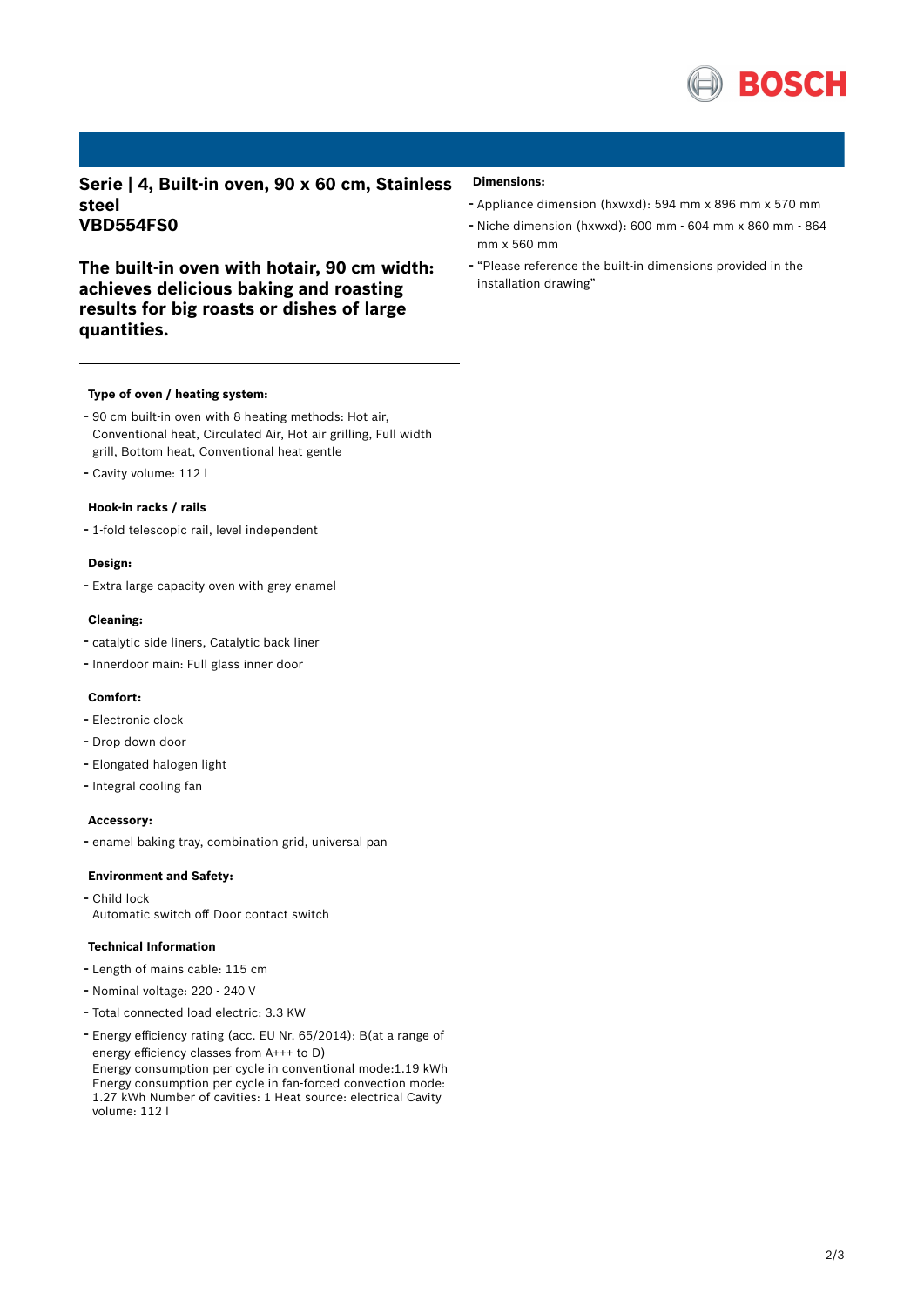

**Serie | 4, Built-in oven, 90 x 60 cm, Stainless steel VBD554FS0**

**The built-in oven with hotair, 90 cm width: achieves delicious baking and roasting results for big roasts or dishes of large quantities.**

#### **Type of oven / heating system:**

- <sup>90</sup> cm built-in oven with <sup>8</sup> heating methods: Hot air, Conventional heat, Circulated Air, Hot air grilling, Full width grill, Bottom heat, Conventional heat gentle
- Cavity volume: <sup>112</sup> <sup>l</sup>

#### **Hook-in racks / rails**

- 1-fold telescopic rail, level independent

#### **Design:**

- Extra large capacity oven with grey enamel

#### **Cleaning:**

- catalytic side liners, Catalytic back liner
- Innerdoor main: Full glass inner door

### **Comfort:**

- Electronic clock
- Drop down door
- Elongated halogen light
- Integral cooling fan

#### **Accessory:**

- enamel baking tray, combination grid, universal pan

### **Environment and Safety:**

- Child lock Automatic switch off Door contact switch

#### **Technical Information**

- Length of mains cable: <sup>115</sup> cm
- Nominal voltage: <sup>220</sup> <sup>240</sup> <sup>V</sup>
- Total connected load electric: 3.3 KW
- Energy efficiency rating (acc. EU Nr. 65/2014): B(at <sup>a</sup> range of energy efficiency classes from A+++ to D) Energy consumption per cycle in conventional mode:1.19 kWh Energy consumption per cycle in fan-forced convection mode: 1.27 kWh Number of cavities: 1 Heat source: electrical Cavity volume: 112 l

#### **Dimensions:**

- Appliance dimension (hxwxd): 594 mm x 896 mm x 570 mm
- Niche dimension (hxwxd): <sup>600</sup> mm <sup>604</sup> mm <sup>x</sup> <sup>860</sup> mm <sup>864</sup> mm x 560 mm
- "Please reference the built-in dimensions provided in the installation drawing"